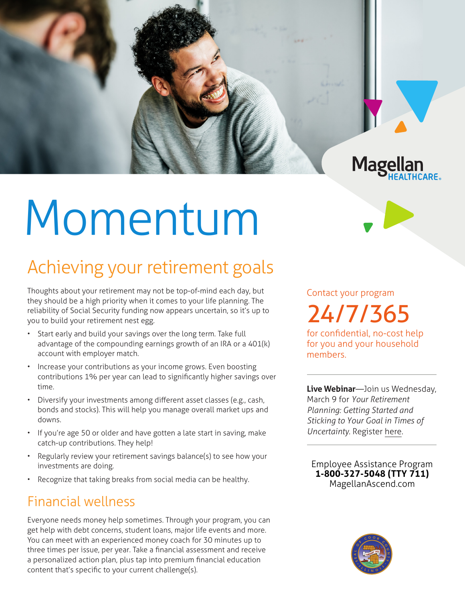

# Momentum

## Achieving your retirement goals

Thoughts about your retirement may not be top-of-mind each day, but they should be a high priority when it comes to your life planning. The reliability of Social Security funding now appears uncertain, so it's up to you to build your retirement nest egg.

- Start early and build your savings over the long term. Take full advantage of the compounding earnings growth of an IRA or a 401(k) account with employer match.
- Increase your contributions as your income grows. Even boosting contributions 1% per year can lead to significantly higher savings over time.
- Diversify your investments among different asset classes (e.g., cash, bonds and stocks). This will help you manage overall market ups and downs.
- If you're age 50 or older and have gotten a late start in saving, make catch-up contributions. They help!
- Regularly review your retirement savings balance(s) to see how your investments are doing.
- Recognize that taking breaks from social media can be healthy.

### Financial wellness

Everyone needs money help sometimes. Through your program, you can get help with debt concerns, student loans, major life events and more. You can meet with an experienced money coach for 30 minutes up to three times per issue, per year. Take a financial assessment and receive a personalized action plan, plus tap into premium financial education content that's specific to your current challenge(s).

Contact your program 24/7/365

for confidential, no-cost help for you and your household members.

**Live Webinar**—Join us Wednesday, March 9 for *Your Retirement Planning: Getting Started and Sticking to Your Goal in Times of Uncertainty.* Register [here.](https://events-na4.adobeconnect.com/content/connect/c1/825364167/en/events/event/shared/default_template_simple/event_registration.html?sco-id=2291177890&_charset_=utf-8)

**Employee Assistance Program 1-800-327-5048 (TTY 711) MagellanAscend.com**